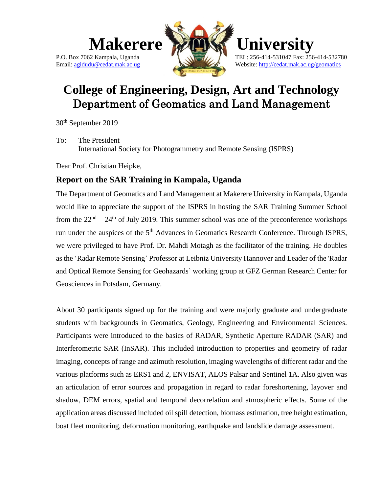

## **College of Engineering, Design, Art and Technology** Department of Geomatics and Land Management

30<sup>th</sup> September 2019

To: The President International Society for Photogrammetry and Remote Sensing (ISPRS)

Dear Prof. Christian Heipke,

## **Report on the SAR Training in Kampala, Uganda**

The Department of Geomatics and Land Management at Makerere University in Kampala, Uganda would like to appreciate the support of the ISPRS in hosting the SAR Training Summer School from the  $22<sup>nd</sup> - 24<sup>th</sup>$  of July 2019. This summer school was one of the preconference workshops run under the auspices of the 5th Advances in Geomatics Research Conference. Through ISPRS, we were privileged to have Prof. Dr. Mahdi Motagh as the facilitator of the training. He doubles as the 'Radar Remote Sensing' Professor at Leibniz University Hannover and Leader of the 'Radar and Optical Remote Sensing for Geohazards' working group at GFZ German Research Center for Geosciences in Potsdam, Germany.

About 30 participants signed up for the training and were majorly graduate and undergraduate students with backgrounds in Geomatics, Geology, Engineering and Environmental Sciences. Participants were introduced to the basics of RADAR, Synthetic Aperture RADAR (SAR) and Interferometric SAR (InSAR). This included introduction to properties and geometry of radar imaging, concepts of range and azimuth resolution, imaging wavelengths of different radar and the various platforms such as ERS1 and 2, ENVISAT, ALOS Palsar and Sentinel 1A. Also given was an articulation of error sources and propagation in regard to radar foreshortening, layover and shadow, DEM errors, spatial and temporal decorrelation and atmospheric effects. Some of the application areas discussed included oil spill detection, biomass estimation, tree height estimation, boat fleet monitoring, deformation monitoring, earthquake and landslide damage assessment.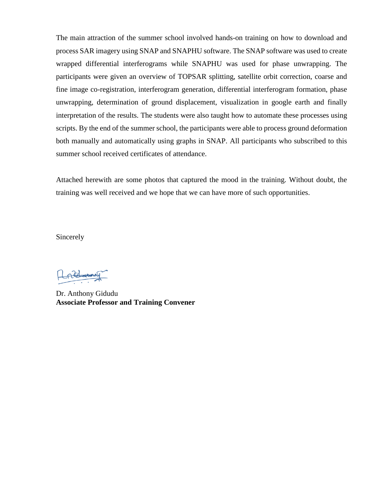The main attraction of the summer school involved hands-on training on how to download and process SAR imagery using SNAP and SNAPHU software. The SNAP software was used to create wrapped differential interferograms while SNAPHU was used for phase unwrapping. The participants were given an overview of TOPSAR splitting, satellite orbit correction, coarse and fine image co-registration, interferogram generation, differential interferogram formation, phase unwrapping, determination of ground displacement, visualization in google earth and finally interpretation of the results. The students were also taught how to automate these processes using scripts. By the end of the summer school, the participants were able to process ground deformation both manually and automatically using graphs in SNAP. All participants who subscribed to this summer school received certificates of attendance.

Attached herewith are some photos that captured the mood in the training. Without doubt, the training was well received and we hope that we can have more of such opportunities.

Sincerely

Dr. Anthony Gidudu **Associate Professor and Training Convener**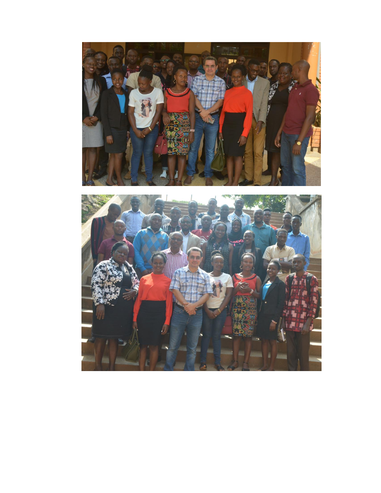

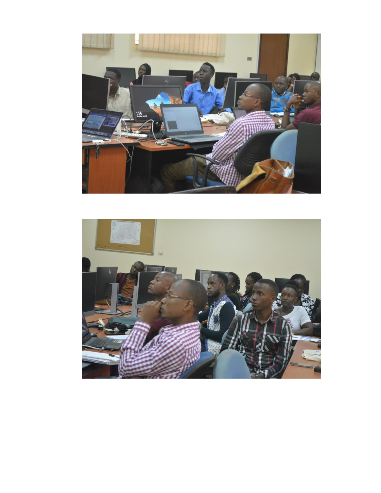

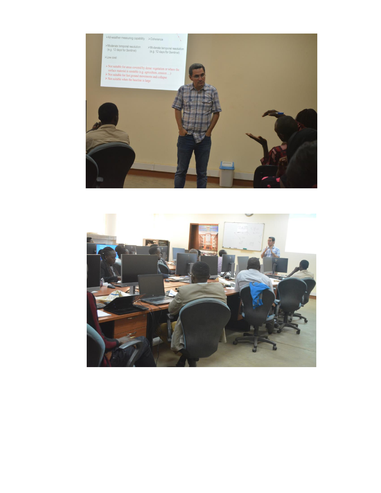